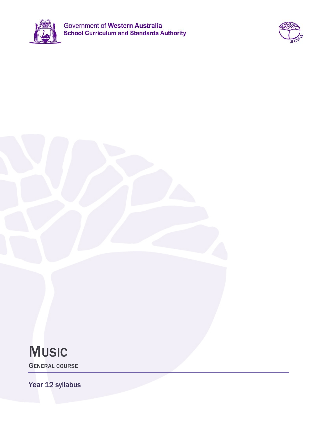



# **MUSIC**

GENERAL COURSE

Year 12 syllabus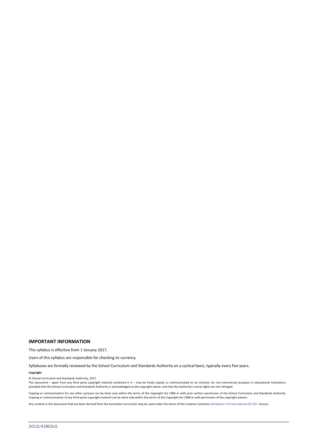#### **IMPORTANT INFORMATION**

This syllabus is effective from 1 January 2017.

Users of this syllabus are responsible for checking its currency.

Syllabuses are formally reviewed by the School Curriculum and Standards Authority on a cyclical basis, typically every five years.

#### **Copyright**

© School Curriculum and Standards Authority, 2017

This document – apart from any third party copyright material contained in it – may be freely copied, or communicated on an intranet, for non-commercial purposes in educational institutions, provided that the School Curriculum and Standards Authority is acknowledged as the copyright owner, and that the Authority's moral rights are not infringed.

Copying or communication for any other purpose can be done only within the terms of the *Copyright Act 1968* or with prior written permission of the School Curriculum and Standards Authority. Copying or communication of any third party copyright material can be done only within the terms of the *Copyright Act 1968* or with permission of the copyright owners.

Any content in this document that has been derived from the Australian Curriculum may be used under the terms of the Creative Commons Attribution 4.0 International (CC BY) licence.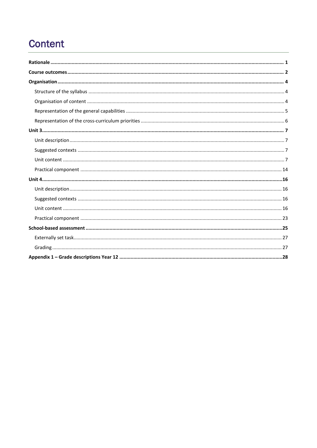## **Content**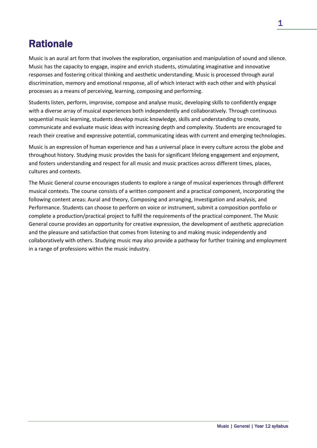## **Rationale**

Music is an aural art form that involves the exploration, organisation and manipulation of sound and silence. Music has the capacity to engage, inspire and enrich students, stimulating imaginative and innovative responses and fostering critical thinking and aesthetic understanding. Music is processed through aural discrimination, memory and emotional response, all of which interact with each other and with physical processes as a means of perceiving, learning, composing and performing.

Students listen, perform, improvise, compose and analyse music, developing skills to confidently engage with a diverse array of musical experiences both independently and collaboratively. Through continuous sequential music learning, students develop music knowledge, skills and understanding to create, communicate and evaluate music ideas with increasing depth and complexity. Students are encouraged to reach their creative and expressive potential, communicating ideas with current and emerging technologies.

Music is an expression of human experience and has a universal place in every culture across the globe and throughout history. Studying music provides the basis for significant lifelong engagement and enjoyment, and fosters understanding and respect for all music and music practices across different times, places, cultures and contexts.

The Music General course encourages students to explore a range of musical experiences through different musical contexts. The course consists of a written component and a practical component, incorporating the following content areas: Aural and theory, Composing and arranging, Investigation and analysis, and Performance. Students can choose to perform on voice or instrument, submit a composition portfolio or complete a production/practical project to fulfil the requirements of the practical component. The Music General course provides an opportunity for creative expression, the development of aesthetic appreciation and the pleasure and satisfaction that comes from listening to and making music independently and collaboratively with others. Studying music may also provide a pathway for further training and employment in a range of professions within the music industry.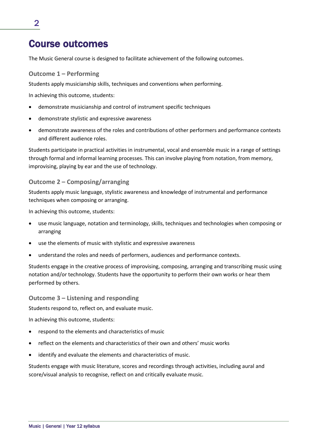## Course outcomes

The Music General course is designed to facilitate achievement of the following outcomes.

### **Outcome 1 – Performing**

Students apply musicianship skills, techniques and conventions when performing.

In achieving this outcome, students:

- demonstrate musicianship and control of instrument specific techniques
- demonstrate stylistic and expressive awareness
- demonstrate awareness of the roles and contributions of other performers and performance contexts and different audience roles.

Students participate in practical activities in instrumental, vocal and ensemble music in a range of settings through formal and informal learning processes. This can involve playing from notation, from memory, improvising, playing by ear and the use of technology.

### **Outcome 2 – Composing/arranging**

Students apply music language, stylistic awareness and knowledge of instrumental and performance techniques when composing or arranging.

In achieving this outcome, students:

- use music language, notation and terminology, skills, techniques and technologies when composing or arranging
- use the elements of music with stylistic and expressive awareness
- understand the roles and needs of performers, audiences and performance contexts.

Students engage in the creative process of improvising, composing, arranging and transcribing music using notation and/or technology. Students have the opportunity to perform their own works or hear them performed by others.

### **Outcome 3 – Listening and responding**

Students respond to, reflect on, and evaluate music.

In achieving this outcome, students:

- respond to the elements and characteristics of music
- reflect on the elements and characteristics of their own and others' music works
- identify and evaluate the elements and characteristics of music.

Students engage with music literature, scores and recordings through activities, including aural and score/visual analysis to recognise, reflect on and critically evaluate music.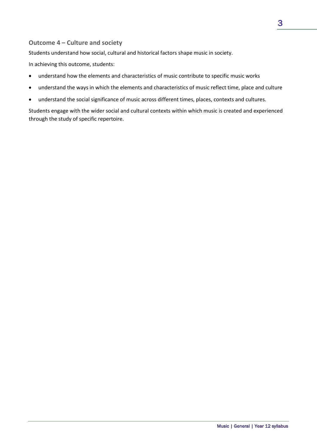### **Outcome 4 – Culture and society**

Students understand how social, cultural and historical factors shape music in society.

In achieving this outcome, students:

- understand how the elements and characteristics of music contribute to specific music works
- understand the ways in which the elements and characteristics of music reflect time, place and culture
- understand the social significance of music across different times, places, contexts and cultures.

Students engage with the wider social and cultural contexts within which music is created and experienced through the study of specific repertoire.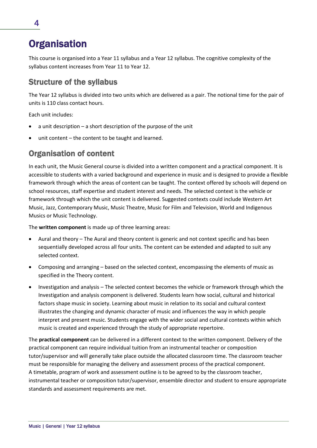## **Organisation**

This course is organised into a Year 11 syllabus and a Year 12 syllabus. The cognitive complexity of the syllabus content increases from Year 11 to Year 12.

### Structure of the syllabus

The Year 12 syllabus is divided into two units which are delivered as a pair. The notional time for the pair of units is 110 class contact hours.

Each unit includes:

- a unit description a short description of the purpose of the unit
- unit content  $-$  the content to be taught and learned.

### Organisation of content

In each unit, the Music General course is divided into a written component and a practical component. It is accessible to students with a varied background and experience in music and is designed to provide a flexible framework through which the areas of content can be taught. The context offered by schools will depend on school resources, staff expertise and student interest and needs. The selected context is the vehicle or framework through which the unit content is delivered. Suggested contexts could include Western Art Music, Jazz, Contemporary Music, Music Theatre, Music for Film and Television, World and Indigenous Musics or Music Technology.

The **written component** is made up of three learning areas:

- Aural and theory The Aural and theory content is generic and not context specific and has been sequentially developed across all four units. The content can be extended and adapted to suit any selected context.
- Composing and arranging based on the selected context, encompassing the elements of music as specified in the Theory content.
- Investigation and analysis The selected context becomes the vehicle or framework through which the Investigation and analysis component is delivered. Students learn how social, cultural and historical factors shape music in society. Learning about music in relation to its social and cultural context illustrates the changing and dynamic character of music and influences the way in which people interpret and present music. Students engage with the wider social and cultural contexts within which music is created and experienced through the study of appropriate repertoire.

The **practical component** can be delivered in a different context to the written component. Delivery of the practical component can require individual tuition from an instrumental teacher or composition tutor/supervisor and will generally take place outside the allocated classroom time. The classroom teacher must be responsible for managing the delivery and assessment process of the practical component. A timetable, program of work and assessment outline is to be agreed to by the classroom teacher, instrumental teacher or composition tutor/supervisor, ensemble director and student to ensure appropriate standards and assessment requirements are met.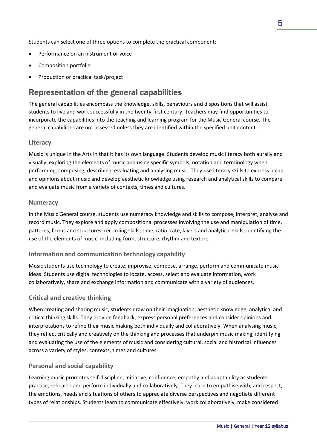Students can select one of three options to complete the practical component:

- Performance on an instrument or voice
- Composition portfolio
- Production or practical task/project

### Representation of the general capabilities

The general capabilities encompass the knowledge, skills, behaviours and dispositions that will assist students to live and work successfully in the twenty-first century. Teachers may find opportunities to incorporate the capabilities into the teaching and learning program for the Music General course. The general capabilities are not assessed unless they are identified within the specified unit content.

### **Literacy**

Music is unique in the Arts in that it has its own language. Students develop music literacy both aurally and visually, exploring the elements of music and using specific symbols, notation and terminology when performing, composing, describing, evaluating and analysing music. They use literacy skills to express ideas and opinions about music and develop aesthetic knowledge using research and analytical skills to compare and evaluate music from a variety of contexts, times and cultures.

### **Numeracy**

In the Music General course, students use numeracy knowledge and skills to compose, interpret, analyse and record music. They explore and apply compositional processes involving the use and manipulation of time, patterns, forms and structures, recording skills; time, ratio, rate, layers and analytical skills; identifying the use of the elements of music, including form, structure, rhythm and texture.

### **Information and communication technology capability**

Music students use technology to create, improvise, compose, arrange, perform and communicate music ideas. Students use digital technologies to locate, access, select and evaluate information, work collaboratively, share and exchange information and communicate with a variety of audiences.

### **Critical and creative thinking**

When creating and sharing music, students draw on their imagination, aesthetic knowledge, analytical and critical thinking skills. They provide feedback, express personal preferences and consider opinions and interpretations to refine their music making both individually and collaboratively. When analysing music, they reflect critically and creatively on the thinking and processes that underpin music making, identifying and evaluating the use of the elements of music and considering cultural, social and historical influences across a variety of styles, contexts, times and cultures.

### **Personal and social capability**

Learning music promotes self-discipline, initiative, confidence, empathy and adaptability as students practise, rehearse and perform individually and collaboratively. They learn to empathise with, and respect, the emotions, needs and situations of others to appreciate diverse perspectives and negotiate different types of relationships. Students learn to communicate effectively, work collaboratively, make considered

5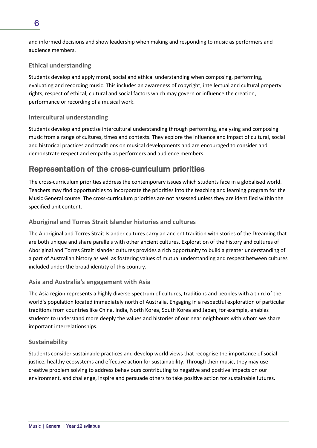and informed decisions and show leadership when making and responding to music as performers and audience members.

### **Ethical understanding**

Students develop and apply moral, social and ethical understanding when composing, performing, evaluating and recording music. This includes an awareness of copyright, intellectual and cultural property rights, respect of ethical, cultural and social factors which may govern or influence the creation, performance or recording of a musical work.

### **Intercultural understanding**

Students develop and practise intercultural understanding through performing, analysing and composing music from a range of cultures, times and contexts. They explore the influence and impact of cultural, social and historical practices and traditions on musical developments and are encouraged to consider and demonstrate respect and empathy as performers and audience members.

### Representation of the cross-curriculum priorities

The cross-curriculum priorities address the contemporary issues which students face in a globalised world. Teachers may find opportunities to incorporate the priorities into the teaching and learning program for the Music General course. The cross-curriculum priorities are not assessed unless they are identified within the specified unit content.

### **Aboriginal and Torres Strait Islander histories and cultures**

The Aboriginal and Torres Strait Islander cultures carry an ancient tradition with stories of the Dreaming that are both unique and share parallels with other ancient cultures. Exploration of the history and cultures of Aboriginal and Torres Strait Islander cultures provides a rich opportunity to build a greater understanding of a part of Australian history as well as fostering values of mutual understanding and respect between cultures included under the broad identity of this country.

### **Asia and Australia's engagement with Asia**

The Asia region represents a highly diverse spectrum of cultures, traditions and peoples with a third of the world's population located immediately north of Australia. Engaging in a respectful exploration of particular traditions from countries like China, India, North Korea, South Korea and Japan, for example, enables students to understand more deeply the values and histories of our near neighbours with whom we share important interrelationships.

### **Sustainability**

Students consider sustainable practices and develop world views that recognise the importance of social justice, healthy ecosystems and effective action for sustainability. Through their music, they may use creative problem solving to address behaviours contributing to negative and positive impacts on our environment, and challenge, inspire and persuade others to take positive action for sustainable futures.

### 6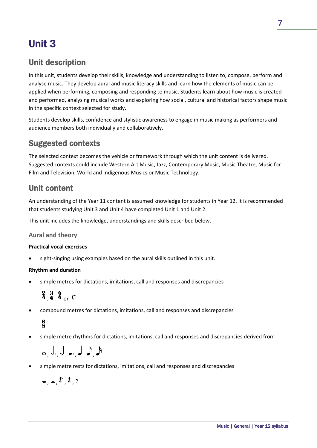## Unit 3

### Unit description

In this unit, students develop their skills, knowledge and understanding to listen to, compose, perform and analyse music. They develop aural and music literacy skills and learn how the elements of music can be applied when performing, composing and responding to music. Students learn about how music is created and performed, analysing musical works and exploring how social, cultural and historical factors shape music in the specific context selected for study.

Students develop skills, confidence and stylistic awareness to engage in music making as performers and audience members both individually and collaboratively.

### Suggested contexts

The selected context becomes the vehicle or framework through which the unit content is delivered. Suggested contexts could include Western Art Music, Jazz, Contemporary Music, Music Theatre, Music for Film and Television, World and Indigenous Musics or Music Technology.

### Unit content

An understanding of the Year 11 content is assumed knowledge for students in Year 12. It is recommended that students studying Unit 3 and Unit 4 have completed Unit 1 and Unit 2.

This unit includes the knowledge, understandings and skills described below.

### **Aural and theory**

### **Practical vocal exercises**

sight-singing using examples based on the aural skills outlined in this unit.

### **Rhythm and duration**

• simple metres for dictations, imitations, call and responses and discrepancies

 $\frac{2}{4}$ ,  $\frac{3}{4}$ ,  $\frac{4}{4}$  or C

• compound metres for dictations, imitations, call and responses and discrepancies

### $\frac{6}{8}$

simple metre rhythms for dictations, imitations, call and responses and discrepancies derived from

, , , , , ,

• simple metre rests for dictations, imitations, call and responses and discrepancies

```
- , \frac{1}{2} , \frac{1}{2} , \frac{1}{2}
```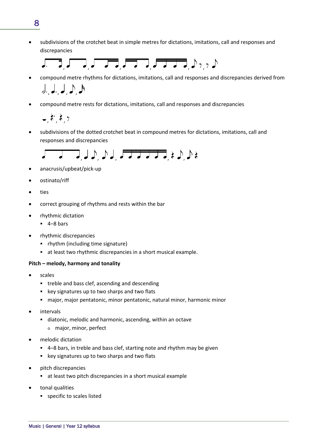• subdivisions of the crotchet beat in simple metres for dictations, imitations, call and responses and discrepancies



- compound metre rhythms for dictations, imitations, call and responses and discrepancies derived from  $J, J, J, \Lambda$
- compound metre rests for dictations, imitations, call and responses and discrepancies

 $\stackrel{\rightarrow}{\rightarrow}$   $\stackrel{\rightarrow}{\rightarrow}$   $\stackrel{\rightarrow}{\rightarrow}$ 

• subdivisions of the dotted crotchet beat in compound metres for dictations, imitations, call and responses and discrepancies

$$
\begin{array}{c}\n\overbrace{\phantom{aaaa}}\n\end{array}
$$

- anacrusis/upbeat/pick-up
- ostinato/riff
- ties
- correct grouping of rhythms and rests within the bar
- rhythmic dictation
	- $-4-8$  bars
- rhythmic discrepancies
	- rhythm (including time signature)
	- at least two rhythmic discrepancies in a short musical example.

### **Pitch – melody, harmony and tonality**

- scales
	- **•** treble and bass clef, ascending and descending
	- **EXEGGS** key signatures up to two sharps and two flats
	- major, major pentatonic, minor pentatonic, natural minor, harmonic minor
- intervals
	- diatonic, melodic and harmonic, ascending, within an octave
		- o major, minor, perfect
- melodic dictation
	- 4–8 bars, in treble and bass clef, starting note and rhythm may be given
	- key signatures up to two sharps and two flats
- pitch discrepancies
	- at least two pitch discrepancies in a short musical example
- tonal qualities
	- specific to scales listed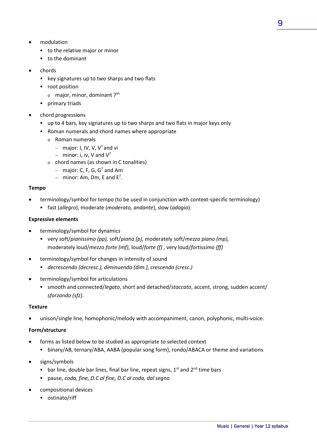- modulation
	- to the relative major or minor
	- to the dominant
- chords
	- **EXECT:** key signatures up to two sharps and two flats
	- **•** root position
		- $\circ$  major, minor, dominant 7<sup>th</sup>
	- **•** primary triads
- chord progressions
	- up to 4 bars, key signatures up to two sharps and two flats in major keys only
	- Roman numerals and chord names where appropriate
		- o Roman numerals
			- − major: I, IV, V, V7 and vi
			- − minor: i, iv, V and V7
		- o chord names (as shown in C tonalities)
			- − major: C, F, G, G7 and Am
			- $-$  minor: Am, Dm, E and E<sup>7</sup>.

### **Tempo**

- terminology/symbol for tempo (to be used in conjunction with context-specific terminology)
	- fast (*allegro*), moderate (*moderato, andante*), slow (*adagio*).

### **Expressive elements**

- terminology/symbol for dynamics
	- very soft/*pianissimo (pp),* soft/*piano (p),* moderately soft/*mezzo piano (mp),* moderately loud/*mezzo forte (mf),* loud/*forte (f) ,* very loud/*fortissimo (ff)*
- terminology/symbol for changes in intensity of sound
	- *decrescendo (decresc.), diminuendo (dim.), crescendo (cresc.)*
- terminology/symbol for articulations
	- smooth and connected/*legato*, short and detached/*staccato*, accent, strong, sudden accent/ *sforzando (sfz).*

### **Texture**

unison/single line, homophonic/melody with accompaniment, canon, polyphonic, multi-voice.

### **Form/structure**

- forms as listed below to be studied as appropriate to selected context
	- binary/AB, ternary/ABA, AABA (popular song form), rondo/ABACA or theme and variations
- signs/symbols
	- **bar line, double bar lines, final bar line, repeat signs,**  $1^{st}$  **and**  $2^{nd}$  **time bars**
	- pause, *coda, fine, D.C al fine, D.C al coda, dal segno*
- compositional devices
	- ostinato/riff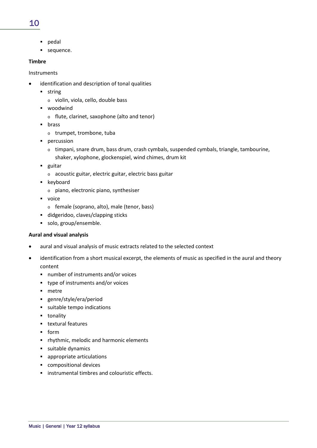### 10

- pedal
- sequence.

### **Timbre**

Instruments

- identification and description of tonal qualities
	- **string** 
		- o violin, viola, cello, double bass
	- woodwind
		- o flute, clarinet, saxophone (alto and tenor)
	- **u** brass
		- o trumpet, trombone, tuba
	- **•** percussion
		- $\circ$  timpani, snare drum, bass drum, crash cymbals, suspended cymbals, triangle, tambourine,
		- shaker, xylophone, glockenspiel, wind chimes, drum kit
	- **guitar** 
		- o acoustic guitar, electric guitar, electric bass guitar
	- **EXEC** keyboard
		- o piano, electronic piano, synthesiser
	- voice
		- o female (soprano, alto), male (tenor, bass)
	- didgeridoo, claves/clapping sticks
	- solo, group/ensemble.

### **Aural and visual analysis**

- aural and visual analysis of music extracts related to the selected context
- identification from a short musical excerpt, the elements of music as specified in the aural and theory content
	- number of instruments and/or voices
	- type of instruments and/or voices
	- **netre**
	- genre/style/era/period
	- suitable tempo indications
	- **tonality**
	- **textural features**
	- $-$  form
	- **•** rhythmic, melodic and harmonic elements
	- **suitable dynamics**
	- appropriate articulations
	- compositional devices
	- **EXECUTE:** instrumental timbres and colouristic effects.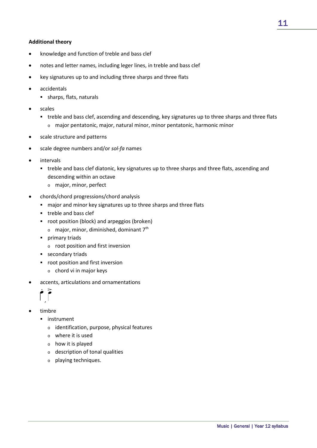### **Additional theory**

- knowledge and function of treble and bass clef
- notes and letter names, including leger lines, in treble and bass clef
- key signatures up to and including three sharps and three flats
- accidentals
	- sharps, flats, naturals
- scales
	- treble and bass clef, ascending and descending, key signatures up to three sharps and three flats
		- o major pentatonic, major, natural minor, minor pentatonic, harmonic minor
- scale structure and patterns
- scale degree numbers and/or *sol-fa* names
- **intervals** 
	- treble and bass clef diatonic, key signatures up to three sharps and three flats, ascending and descending within an octave
		- o major, minor, perfect
- chords/chord progressions/chord analysis
	- major and minor key signatures up to three sharps and three flats
	- **treble and bass clef**
	- **•** root position (block) and arpeggios (broken)
		- $\circ$  major, minor, diminished, dominant 7<sup>th</sup>
	- **•** primary triads
		- o root position and first inversion
	- **secondary triads**
	- **•** root position and first inversion
		- o chord vi in major keys
- accents, articulations and ornamentations



- timbre
	- **·** instrument
		- o identification, purpose, physical features
		- o where it is used
		- o how it is played
		- o description of tonal qualities
		- o playing techniques.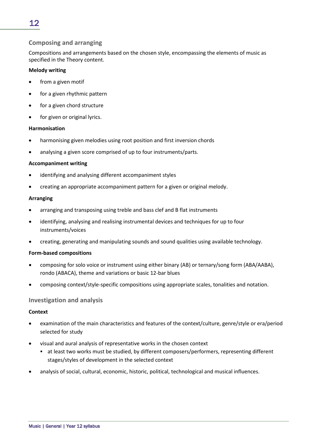### **Composing and arranging**

Compositions and arrangements based on the chosen style, encompassing the elements of music as specified in the Theory content.

### **Melody writing**

- from a given motif
- for a given rhythmic pattern
- for a given chord structure
- for given or original lyrics.

### **Harmonisation**

- harmonising given melodies using root position and first inversion chords
- analysing a given score comprised of up to four instruments/parts.

### **Accompaniment writing**

- identifying and analysing different accompaniment styles
- creating an appropriate accompaniment pattern for a given or original melody.

### **Arranging**

- arranging and transposing using treble and bass clef and B flat instruments
- identifying, analysing and realising instrumental devices and techniques for up to four instruments/voices
- creating, generating and manipulating sounds and sound qualities using available technology.

### **Form-based compositions**

- composing for solo voice or instrument using either binary (AB) or ternary/song form (ABA/AABA), rondo (ABACA), theme and variations or basic 12-bar blues
- composing context/style-specific compositions using appropriate scales, tonalities and notation.

### **Investigation and analysis**

### **Context**

- examination of the main characteristics and features of the context/culture, genre/style or era/period selected for study
- visual and aural analysis of representative works in the chosen context
	- at least two works must be studied, by different composers/performers, representing different stages/styles of development in the selected context
- analysis of social, cultural, economic, historic, political, technological and musical influences.

### 12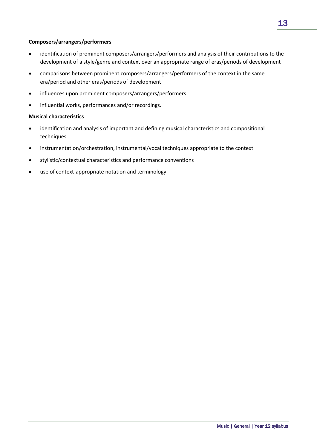### **Composers/arrangers/performers**

- identification of prominent composers/arrangers/performers and analysis of their contributions to the development of a style/genre and context over an appropriate range of eras/periods of development
- comparisons between prominent composers/arrangers/performers of the context in the same era/period and other eras/periods of development
- influences upon prominent composers/arrangers/performers
- influential works, performances and/or recordings.

### **Musical characteristics**

- identification and analysis of important and defining musical characteristics and compositional techniques
- instrumentation/orchestration, instrumental/vocal techniques appropriate to the context
- stylistic/contextual characteristics and performance conventions
- use of context-appropriate notation and terminology.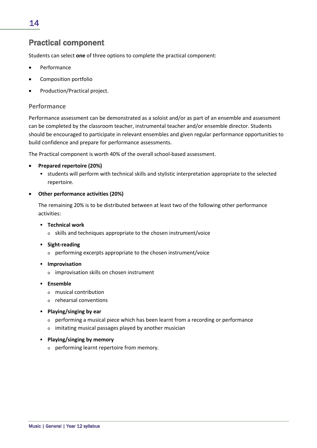### Practical component

Students can select **one** of three options to complete the practical component:

- **Performance**
- Composition portfolio
- Production/Practical project.

### **Performance**

Performance assessment can be demonstrated as a soloist and/or as part of an ensemble and assessment can be completed by the classroom teacher, instrumental teacher and/or ensemble director. Students should be encouraged to participate in relevant ensembles and given regular performance opportunities to build confidence and prepare for performance assessments.

The Practical component is worth 40% of the overall school-based assessment.

### • **Prepared repertoire (20%)**

 students will perform with technical skills and stylistic interpretation appropriate to the selected repertoire.

### • **Other performance activities (20%)**

The remaining 20% is to be distributed between at least two of the following other performance activities:

- **Technical work**
	- o skills and techniques appropriate to the chosen instrument/voice
- **Fight-reading** 
	- o performing excerpts appropriate to the chosen instrument/voice
- **F** Improvisation
	- o improvisation skills on chosen instrument
- **Ensemble**
	- o musical contribution
	- o rehearsal conventions
- **Playing/singing by ear**
	- o performing a musical piece which has been learnt from a recording or performance
	- o imitating musical passages played by another musician
- **Playing/singing by memory**
	- o performing learnt repertoire from memory.

14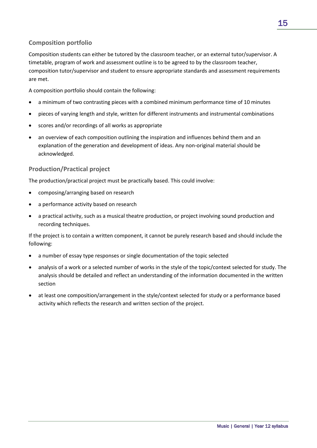### **Composition portfolio**

Composition students can either be tutored by the classroom teacher, or an external tutor/supervisor. A timetable, program of work and assessment outline is to be agreed to by the classroom teacher, composition tutor/supervisor and student to ensure appropriate standards and assessment requirements are met.

A composition portfolio should contain the following:

- a minimum of two contrasting pieces with a combined minimum performance time of 10 minutes
- pieces of varying length and style, written for different instruments and instrumental combinations
- scores and/or recordings of all works as appropriate
- an overview of each composition outlining the inspiration and influences behind them and an explanation of the generation and development of ideas. Any non-original material should be acknowledged.

### **Production/Practical project**

The production/practical project must be practically based. This could involve:

- composing/arranging based on research
- a performance activity based on research
- a practical activity, such as a musical theatre production, or project involving sound production and recording techniques.

If the project is to contain a written component, it cannot be purely research based and should include the following:

- a number of essay type responses or single documentation of the topic selected
- analysis of a work or a selected number of works in the style of the topic/context selected for study. The analysis should be detailed and reflect an understanding of the information documented in the written section
- at least one composition/arrangement in the style/context selected for study or a performance based activity which reflects the research and written section of the project.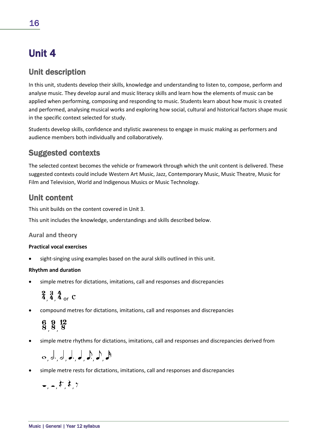## Unit 4

### Unit description

In this unit, students develop their skills, knowledge and understanding to listen to, compose, perform and analyse music. They develop aural and music literacy skills and learn how the elements of music can be applied when performing, composing and responding to music. Students learn about how music is created and performed, analysing musical works and exploring how social, cultural and historical factors shape music in the specific context selected for study.

Students develop skills, confidence and stylistic awareness to engage in music making as performers and audience members both individually and collaboratively.

### Suggested contexts

The selected context becomes the vehicle or framework through which the unit content is delivered. These suggested contexts could include Western Art Music, Jazz, Contemporary Music, Music Theatre, Music for Film and Television, World and Indigenous Musics or Music Technology.

### Unit content

This unit builds on the content covered in Unit 3.

This unit includes the knowledge, understandings and skills described below.

### **Aural and theory**

### **Practical vocal exercises**

sight-singing using examples based on the aural skills outlined in this unit.

### **Rhythm and duration**

simple metres for dictations, imitations, call and responses and discrepancies

 $\frac{2}{4}$ ,  $\frac{3}{4}$ ,  $\frac{4}{4}$  or C

• compound metres for dictations, imitations, call and responses and discrepancies

 $\frac{6}{8}$ ,  $\frac{9}{8}$ ,  $\frac{12}{8}$ 

• simple metre rhythms for dictations, imitations, call and responses and discrepancies derived from

$$
\mathsf{S}_1, \mathsf{S}_2, \mathsf{S}_3, \mathsf{S}_4, \mathsf{S}_5, \mathsf{S}_6, \mathsf{S}_7
$$

• simple metre rests for dictations, imitations, call and responses and discrepancies

$$
=,-,\xi^{\prime},\xi,\gamma
$$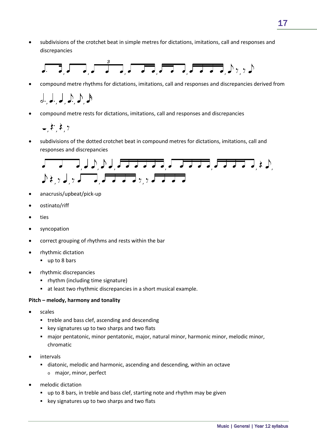• subdivisions of the crotchet beat in simple metres for dictations, imitations, call and responses and discrepancies



• compound metre rhythms for dictations, imitations, call and responses and discrepancies derived from

 $J, J, J, J, J, A$ 

• compound metre rests for dictations, imitations, call and responses and discrepancies

 $\frac{1}{2}$  ,  $\frac{1}{2}$  ,  $\frac{1}{2}$ 

• subdivisions of the dotted crotchet beat in compound metres for dictations, imitations, call and responses and discrepancies



- anacrusis/upbeat/pick-up
- ostinato/riff
- ties
- syncopation
- correct grouping of rhythms and rests within the bar
- rhythmic dictation
	- up to 8 bars
- rhythmic discrepancies
	- rhythm (including time signature)
	- at least two rhythmic discrepancies in a short musical example.

### **Pitch – melody, harmony and tonality**

- scales
	- **•** treble and bass clef, ascending and descending
	- **EXEGGS** key signatures up to two sharps and two flats
	- major pentatonic, minor pentatonic, major, natural minor, harmonic minor, melodic minor, chromatic
- intervals
	- diatonic, melodic and harmonic, ascending and descending, within an octave
		- o major, minor, perfect
- melodic dictation
	- up to 8 bars, in treble and bass clef, starting note and rhythm may be given
	- **EXECT:** key signatures up to two sharps and two flats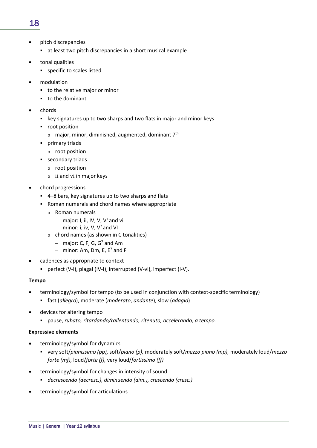### 18

- pitch discrepancies
	- at least two pitch discrepancies in a short musical example
- tonal qualities
	- specific to scales listed
- modulation
	- to the relative major or minor
	- to the dominant
- chords
	- key signatures up to two sharps and two flats in major and minor keys
	- **•** root position
		- $\circ$  major, minor, diminished, augmented, dominant 7<sup>th</sup>
	- **•** primary triads
		- o root position
	- **secondary triads** 
		- o root position
		- $\circ$  ii and vi in major keys
- chord progressions
	- 4–8 bars, key signatures up to two sharps and flats
	- Roman numerals and chord names where appropriate
		- o Roman numerals
			- − major: I, ii, IV, V, V7 and vi
			- − minor: i, iv, V, V7 and VI
		- o chord names (as shown in C tonalities)
			- − major: C, F, G, G7 and Am
			- $−$  minor: Am, Dm, E, E<sup>7</sup> and F
- cadences as appropriate to context
	- perfect (V-I), plagal (IV-I), interrupted (V-vi), imperfect (I-V).

### **Tempo**

- terminology/symbol for tempo (to be used in conjunction with context-specific terminology)
	- fast (*allegro*), moderate (*moderato*, *andante*), slow (*adagio*)
- devices for altering tempo
	- pause, *rubato, ritardando/rallentando, ritenuto, accelerando, a tempo.*

### **Expressive elements**

- terminology/symbol for dynamics
	- very soft/*pianissimo (pp),* soft/*piano (p),* moderately soft/*mezzo piano (mp),* moderately loud/*mezzo forte (mf),* loud/*forte (f),* very loud/*fortissimo (ff)*
- terminology/symbol for changes in intensity of sound
	- *decrescendo (decresc.), diminuendo (dim.), crescendo (cresc.)*
- terminology/symbol for articulations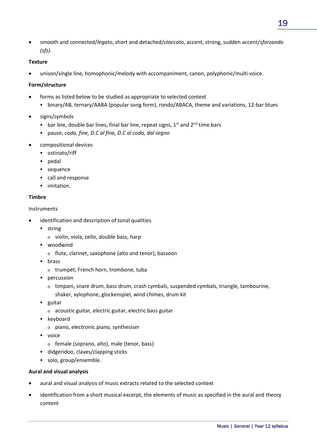• smooth and connected/*legato*, short and detached/*staccato*, accent, strong, sudden accent/*sforzando (sfz)*.

### **Texture**

unison/single line, homophonic/melody with accompaniment, canon, polyphonic/multi-voice.

### **Form/structure**

- forms as listed below to be studied as appropriate to selected context
	- binary/AB, ternary/AABA (popular song form), rondo/ABACA, theme and variations, 12-bar blues
- signs/symbols
	- bar line, double bar lines, final bar line, repeat signs,  $1^{st}$  and  $2^{nd}$  time bars
	- pause, *coda, fine, D.C al fine, D.C al coda, dal segno*
- compositional devices
	- ostinato/riff
	- pedal
	- **sequence**
	- call and response
	- **·** imitation.

### **Timbre**

### Instruments

- identification and description of tonal qualities
	- **string** 
		- o violin, viola, cello, double bass, harp
	- woodwind
		- o flute, clarinet, saxophone (alto and tenor), bassoon
	- **u** brass
		- o trumpet, French horn, trombone, tuba
	- **•** percussion
		- $\circ$  timpani, snare drum, bass drum, crash cymbals, suspended cymbals, triangle, tambourine, shaker, xylophone, glockenspiel, wind chimes, drum kit
	- **guitar** 
		- o acoustic guitar, electric guitar, electric bass guitar
	- keyboard
		- o piano, electronic piano, synthesiser
	- **voice** 
		- o female (soprano, alto), male (tenor, bass)
	- didgeridoo, claves/clapping sticks
	- solo, group/ensemble.

### **Aural and visual analysis**

- aural and visual analysis of music extracts related to the selected context
- identification from a short musical excerpt, the elements of music as specified in the aural and theory content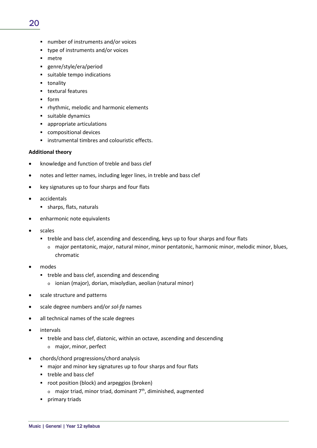- number of instruments and/or voices
- type of instruments and/or voices
- **netre**
- genre/style/era/period
- suitable tempo indications
- **t** tonality
- **textural features**
- $-$  form
- **•** rhythmic, melodic and harmonic elements
- suitable dynamics
- appropriate articulations
- compositional devices
- **EXECUTE:** instrumental timbres and colouristic effects.

### **Additional theory**

- knowledge and function of treble and bass clef
- notes and letter names, including leger lines, in treble and bass clef
- key signatures up to four sharps and four flats
- accidentals
	- sharps, flats, naturals
- enharmonic note equivalents
- scales
	- treble and bass clef, ascending and descending, keys up to four sharps and four flats
		- o major pentatonic, major, natural minor, minor pentatonic, harmonic minor, melodic minor, blues, chromatic
- modes
	- **•** treble and bass clef, ascending and descending
		- o ionian (major), dorian, mixolydian, aeolian (natural minor)
- scale structure and patterns
- scale degree numbers and/or *sol-fa* names
- all technical names of the scale degrees
- intervals
	- treble and bass clef, diatonic, within an octave, ascending and descending
		- o major, minor, perfect
- chords/chord progressions/chord analysis
	- major and minor key signatures up to four sharps and four flats
	- **treble and bass clef**
	- **•** root position (block) and arpeggios (broken)  $\circ$  major triad, minor triad, dominant 7<sup>th</sup>, diminished, augmented
	- **•** primary triads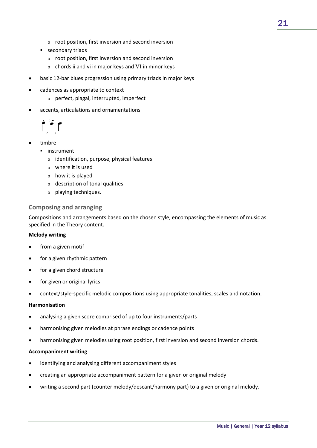- o root position, first inversion and second inversion
- **secondary triads** 
	- o root position, first inversion and second inversion
	- o chords ii and vi in major keys and VI in minor keys
- basic 12-bar blues progression using primary triads in major keys
- cadences as appropriate to context
	- o perfect, plagal, interrupted, imperfect
- accents, articulations and ornamentations

 $\int_{0}^{1}$ 

- timbre
	- **·** instrument
		- o identification, purpose, physical features
		- o where it is used
		- o how it is played
		- o description of tonal qualities
		- o playing techniques.

### **Composing and arranging**

Compositions and arrangements based on the chosen style, encompassing the elements of music as specified in the Theory content.

### **Melody writing**

- from a given motif
- for a given rhythmic pattern
- for a given chord structure
- for given or original lyrics
- context/style-specific melodic compositions using appropriate tonalities, scales and notation.

### **Harmonisation**

- analysing a given score comprised of up to four instruments/parts
- harmonising given melodies at phrase endings or cadence points
- harmonising given melodies using root position, first inversion and second inversion chords.

### **Accompaniment writing**

- identifying and analysing different accompaniment styles
- creating an appropriate accompaniment pattern for a given or original melody
- writing a second part (counter melody/descant/harmony part) to a given or original melody.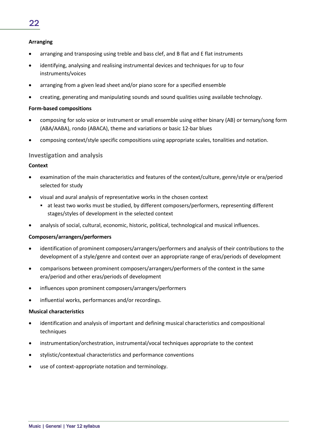### **Arranging**

- arranging and transposing using treble and bass clef, and B flat and E flat instruments
- identifying, analysing and realising instrumental devices and techniques for up to four instruments/voices
- arranging from a given lead sheet and/or piano score for a specified ensemble
- creating, generating and manipulating sounds and sound qualities using available technology.

### **Form-based compositions**

- composing for solo voice or instrument or small ensemble using either binary (AB) or ternary/song form (ABA/AABA), rondo (ABACA), theme and variations or basic 12-bar blues
- composing context/style specific compositions using appropriate scales, tonalities and notation.

### **Investigation and analysis**

### **Context**

- examination of the main characteristics and features of the context/culture, genre/style or era/period selected for study
- visual and aural analysis of representative works in the chosen context
	- at least two works must be studied, by different composers/performers, representing different stages/styles of development in the selected context
- analysis of social, cultural, economic, historic, political, technological and musical influences.

### **Composers/arrangers/performers**

- identification of prominent composers/arrangers/performers and analysis of their contributions to the development of a style/genre and context over an appropriate range of eras/periods of development
- comparisons between prominent composers/arrangers/performers of the context in the same era/period and other eras/periods of development
- influences upon prominent composers/arrangers/performers
- influential works, performances and/or recordings.

### **Musical characteristics**

- identification and analysis of important and defining musical characteristics and compositional techniques
- instrumentation/orchestration, instrumental/vocal techniques appropriate to the context
- stylistic/contextual characteristics and performance conventions
- use of context-appropriate notation and terminology.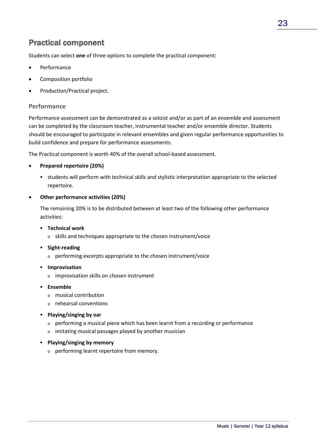### Practical component

Students can select **one** of three options to complete the practical component:

- **Performance**
- Composition portfolio
- Production/Practical project.

### **Performance**

Performance assessment can be demonstrated as a soloist and/or as part of an ensemble and assessment can be completed by the classroom teacher, instrumental teacher and/or ensemble director. Students should be encouraged to participate in relevant ensembles and given regular performance opportunities to build confidence and prepare for performance assessments.

The Practical component is worth 40% of the overall school-based assessment.

### • **Prepared repertoire (20%)**

 students will perform with technical skills and stylistic interpretation appropriate to the selected repertoire.

### • **Other performance activities (20%)**

The remaining 20% is to be distributed between at least two of the following other performance activities:

- **Technical work**
	- o skills and techniques appropriate to the chosen instrument/voice
- **Fight-reading** 
	- o performing excerpts appropriate to the chosen instrument/voice
- **F** Improvisation
	- o improvisation skills on chosen instrument
- **Ensemble**
	- o musical contribution
	- o rehearsal conventions
- **Playing/singing by ear**
	- $\circ$  performing a musical piece which has been learnt from a recording or performance
	- o imitating musical passages played by another musician
- **Playing/singing by memory**
	- o performing learnt repertoire from memory.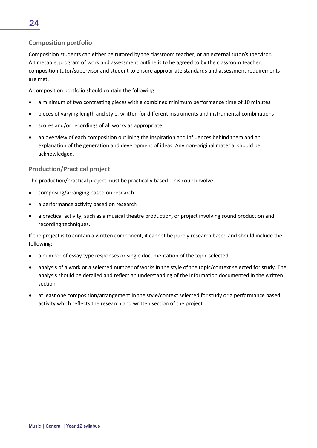### **Composition portfolio**

Composition students can either be tutored by the classroom teacher, or an external tutor/supervisor. A timetable, program of work and assessment outline is to be agreed to by the classroom teacher, composition tutor/supervisor and student to ensure appropriate standards and assessment requirements are met.

A composition portfolio should contain the following:

- a minimum of two contrasting pieces with a combined minimum performance time of 10 minutes
- pieces of varying length and style, written for different instruments and instrumental combinations
- scores and/or recordings of all works as appropriate
- an overview of each composition outlining the inspiration and influences behind them and an explanation of the generation and development of ideas. Any non-original material should be acknowledged.

### **Production/Practical project**

The production/practical project must be practically based. This could involve:

- composing/arranging based on research
- a performance activity based on research
- a practical activity, such as a musical theatre production, or project involving sound production and recording techniques.

If the project is to contain a written component, it cannot be purely research based and should include the following:

- a number of essay type responses or single documentation of the topic selected
- analysis of a work or a selected number of works in the style of the topic/context selected for study. The analysis should be detailed and reflect an understanding of the information documented in the written section
- at least one composition/arrangement in the style/context selected for study or a performance based activity which reflects the research and written section of the project.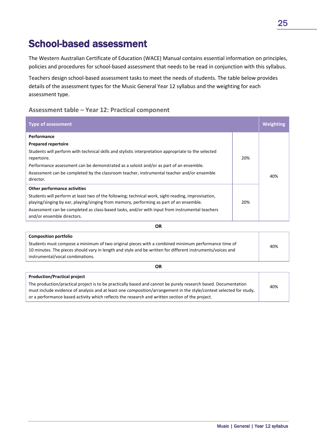## School-based assessment

The Western Australian Certificate of Education (WACE) Manual contains essential information on principles, policies and procedures for school-based assessment that needs to be read in conjunction with this syllabus.

Teachers design school-based assessment tasks to meet the needs of students. The table below provides details of the assessment types for the Music General Year 12 syllabus and the weighting for each assessment type.

### **Assessment table – Year 12: Practical component**

| <b>Type of assessment</b>                                                                                                                                                                     |     | Weighting |
|-----------------------------------------------------------------------------------------------------------------------------------------------------------------------------------------------|-----|-----------|
| Performance                                                                                                                                                                                   |     |           |
| <b>Prepared repertoire</b>                                                                                                                                                                    |     |           |
| Students will perform with technical skills and stylistic interpretation appropriate to the selected<br>repertoire.                                                                           | 20% |           |
| Performance assessment can be demonstrated as a soloist and/or as part of an ensemble.                                                                                                        |     |           |
| Assessment can be completed by the classroom teacher, instrumental teacher and/or ensemble<br>director.                                                                                       |     | 40%       |
| Other performance activities                                                                                                                                                                  |     |           |
| Students will perform at least two of the following; technical work, sight-reading, improvisation,<br>playing/singing by ear, playing/singing from memory, performing as part of an ensemble. | 20% |           |
| Assessment can be completed as class-based tasks, and/or with input from instrumental teachers<br>and/or ensemble directors.                                                                  |     |           |

**Composition portfolio** Students must compose a minimum of two original pieces with a combined minimum performance time of 10 minutes. The pieces should vary in length and style and be written for different instruments/voices and instrumental/vocal combinations. 40%

**OR**

| <b>Production/Practical project</b>                                                                                 |     |
|---------------------------------------------------------------------------------------------------------------------|-----|
| The production/practical project is to be practically based and cannot be purely research based. Documentation      | 40% |
| must include evidence of analysis and at least one composition/arrangement in the style/context selected for study, |     |
| or a performance based activity which reflects the research and written section of the project.                     |     |
|                                                                                                                     |     |

**OR**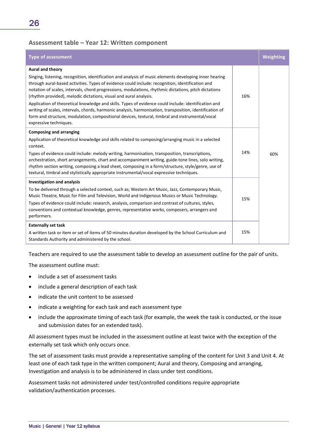### **Assessment table – Year 12: Written component**

| <b>Type of assessment</b>                                                                                                                                                                                                                                                                                                                                                                                                                                                                                                                                                                                                                                                                                                                                      |     | Weighting |
|----------------------------------------------------------------------------------------------------------------------------------------------------------------------------------------------------------------------------------------------------------------------------------------------------------------------------------------------------------------------------------------------------------------------------------------------------------------------------------------------------------------------------------------------------------------------------------------------------------------------------------------------------------------------------------------------------------------------------------------------------------------|-----|-----------|
| Aural and theory<br>Singing, listening, recognition, identification and analysis of music elements developing inner hearing<br>through aural-based activities. Types of evidence could include: recognition, identification and<br>notation of scales, intervals, chord progressions, modulations, rhythmic dictations, pitch dictations<br>(rhythm provided), melodic dictations, visual and aural analysis.<br>Application of theoretical knowledge and skills. Types of evidence could include: identification and<br>writing of scales, intervals, chords, harmonic analysis, harmonisation, transposition, identification of<br>form and structure, modulation, compositional devices, textural, timbral and instrumental/vocal<br>expressive techniques. | 16% |           |
| <b>Composing and arranging</b><br>Application of theoretical knowledge and skills related to composing/arranging music in a selected<br>context.<br>Types of evidence could include: melody writing, harmonisation, transposition, transcriptions,<br>orchestration, short arrangements, chart and accompaniment writing, guide-tone lines, solo writing,<br>rhythm section writing, composing a lead sheet, composing in a form/structure, style/genre, use of<br>textural, timbral and stylistically appropriate instrumental/vocal expressive techniques.                                                                                                                                                                                                   | 14% | 60%       |
| <b>Investigation and analysis</b><br>To be delivered through a selected context, such as; Western Art Music, Jazz, Contemporary Music,<br>Music Theatre, Music for Film and Television, World and Indigenous Musics or Music Technology.<br>Types of evidence could include: research, analysis, comparison and contrast of cultures, styles,<br>conventions and contextual knowledge, genres, representative works, composers, arrangers and<br>performers.                                                                                                                                                                                                                                                                                                   | 15% |           |
| <b>Externally set task</b><br>A written task or item or set of items of 50 minutes duration developed by the School Curriculum and<br>Standards Authority and administered by the school.                                                                                                                                                                                                                                                                                                                                                                                                                                                                                                                                                                      | 15% |           |

Teachers are required to use the assessment table to develop an assessment outline for the pair of units.

The assessment outline must:

- include a set of assessment tasks
- include a general description of each task
- indicate the unit content to be assessed
- indicate a weighting for each task and each assessment type
- include the approximate timing of each task (for example, the week the task is conducted, or the issue and submission dates for an extended task).

All assessment types must be included in the assessment outline at least twice with the exception of the externally set task which only occurs once.

The set of assessment tasks must provide a representative sampling of the content for Unit 3 and Unit 4. At least one of each task type in the written component; Aural and theory, Composing and arranging, Investigation and analysis is to be administered in class under test conditions.

Assessment tasks not administered under test/controlled conditions require appropriate validation/authentication processes.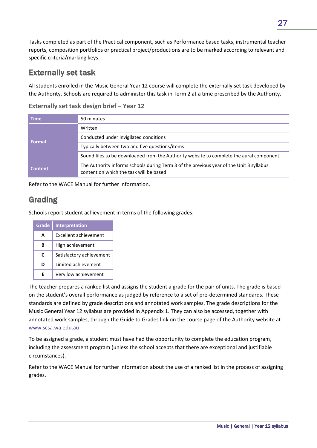Tasks completed as part of the Practical component, such as Performance based tasks, instrumental teacher reports, composition portfolios or practical project/productions are to be marked according to relevant and specific criteria/marking keys.

### Externally set task

All students enrolled in the Music General Year 12 course will complete the externally set task developed by the Authority. Schools are required to administer this task in Term 2 at a time prescribed by the Authority.

| <b>Time</b>    | 50 minutes                                                                                                                         |
|----------------|------------------------------------------------------------------------------------------------------------------------------------|
| Format         | Written                                                                                                                            |
|                | Conducted under invigilated conditions                                                                                             |
|                | Typically between two and five questions/items                                                                                     |
|                | Sound files to be downloaded from the Authority website to complete the aural component                                            |
| <b>Content</b> | The Authority informs schools during Term 3 of the previous year of the Unit 3 syllabus<br>content on which the task will be based |

**Externally set task design brief – Year 12**

Refer to the WACE Manual for further information.

### Grading

Schools report student achievement in terms of the following grades:

| Grade | <b>Interpretation</b>        |
|-------|------------------------------|
| A     | <b>Excellent achievement</b> |
| R     | High achievement             |
| C     | Satisfactory achievement     |
| ח     | Limited achievement          |
| F     | Very low achievement         |

The teacher prepares a ranked list and assigns the student a grade for the pair of units. The grade is based on the student's overall performance as judged by reference to a set of pre-determined standards. These standards are defined by grade descriptions and annotated work samples. The grade descriptions for the Music General Year 12 syllabus are provided in Appendix 1. They can also be accessed, together with annotated work samples, through the Guide to Grades link on the course page of the Authority website at www.scsa.wa.edu.au

To be assigned a grade, a student must have had the opportunity to complete the education program, including the assessment program (unless the school accepts that there are exceptional and justifiable circumstances).

Refer to the WACE Manual for further information about the use of a ranked list in the process of assigning grades.

27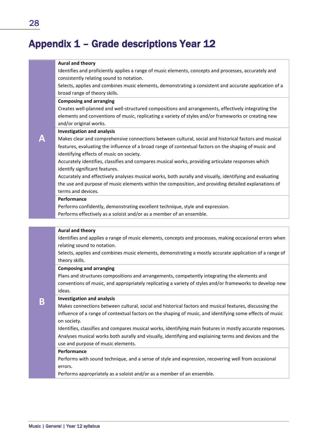## Appendix 1 – Grade descriptions Year 12

#### **Aural and theory**

Identifies and proficiently applies a range of music elements, concepts and processes, accurately and consistently relating sound to notation.

Selects, applies and combines music elements, demonstrating a consistent and accurate application of a broad range of theory skills.

### **Composing and arranging**

Creates well-planned and well-structured compositions and arrangements, effectively integrating the elements and conventions of music, replicating a variety of styles and/or frameworks or creating new and/or original works.

#### **Investigation and analysis**

Makes clear and comprehensive connections between cultural, social and historical factors and musical features, evaluating the influence of a broad range of contextual factors on the shaping of music and identifying effects of music on society.

Accurately identifies, classifies and compares musical works, providing articulate responses which identify significant features.

Accurately and effectively analyses musical works, both aurally and visually, identifying and evaluating the use and purpose of music elements within the composition, and providing detailed explanations of terms and devices.

#### **Performance**

Performs confidently, demonstrating excellent technique, style and expression.

Performs effectively as a soloist and/or as a member of an ensemble.

#### **Aural and theory**

Identifies and applies a range of music elements, concepts and processes, making occasional errors when relating sound to notation.

Selects, applies and combines music elements, demonstrating a mostly accurate application of a range of theory skills.

#### **Composing and arranging**

Plans and structures compositions and arrangements, competently integrating the elements and conventions of music, and appropriately replicating a variety of styles and/or frameworks to develop new ideas.

#### **Investigation and analysis**

Makes connections between cultural, social and historical factors and musical features, discussing the influence of a range of contextual factors on the shaping of music, and identifying some effects of music on society.

Identifies, classifies and compares musical works, identifying main features in mostly accurate responses. Analyses musical works both aurally and visually, identifying and explaining terms and devices and the use and purpose of music elements.

#### **Performance**

Performs with sound technique, and a sense of style and expression, recovering well from occasional errors.

Performs appropriately as a soloist and/or as a member of an ensemble.

**A**

**B**